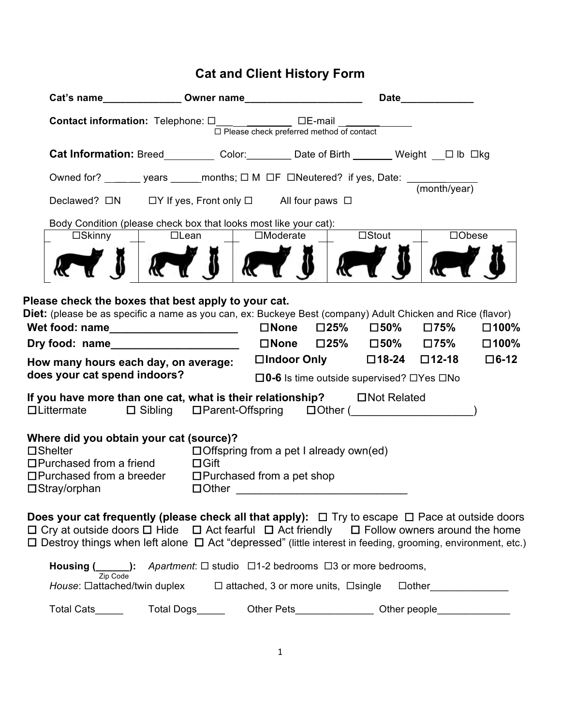## **Cat and Client History Form**

|                                                                                                                                                                                                                                                                                                                                                                              |                                                                                                                                                                                                                                                                                                                                                            |  |                                                                                  |                                                                         |                          | <b>Date Example 20</b> |                            |             |  |
|------------------------------------------------------------------------------------------------------------------------------------------------------------------------------------------------------------------------------------------------------------------------------------------------------------------------------------------------------------------------------|------------------------------------------------------------------------------------------------------------------------------------------------------------------------------------------------------------------------------------------------------------------------------------------------------------------------------------------------------------|--|----------------------------------------------------------------------------------|-------------------------------------------------------------------------|--------------------------|------------------------|----------------------------|-------------|--|
|                                                                                                                                                                                                                                                                                                                                                                              |                                                                                                                                                                                                                                                                                                                                                            |  |                                                                                  | $\Box$ Please check preferred method of contact                         |                          |                        |                            |             |  |
|                                                                                                                                                                                                                                                                                                                                                                              |                                                                                                                                                                                                                                                                                                                                                            |  |                                                                                  |                                                                         |                          |                        |                            |             |  |
|                                                                                                                                                                                                                                                                                                                                                                              |                                                                                                                                                                                                                                                                                                                                                            |  | Owned for? _______ years ______ months; □ M □F □Neutered? if yes, Date: ________ |                                                                         |                          |                        |                            |             |  |
|                                                                                                                                                                                                                                                                                                                                                                              | (month/year)<br>Declawed? □N □Y If yes, Front only □ All four paws □                                                                                                                                                                                                                                                                                       |  |                                                                                  |                                                                         |                          |                        |                            |             |  |
|                                                                                                                                                                                                                                                                                                                                                                              | Body Condition (please check box that looks most like your cat):                                                                                                                                                                                                                                                                                           |  |                                                                                  |                                                                         |                          |                        |                            |             |  |
|                                                                                                                                                                                                                                                                                                                                                                              | $\square$ Skinny                                                                                                                                                                                                                                                                                                                                           |  | $\square$ Stout<br>$\Box$ Moderate<br>$\Box$ Lean                                |                                                                         |                          |                        | $\Box$ Obese               |             |  |
|                                                                                                                                                                                                                                                                                                                                                                              |                                                                                                                                                                                                                                                                                                                                                            |  |                                                                                  |                                                                         | $\overline{\mathcal{K}}$ |                        |                            |             |  |
| Please check the boxes that best apply to your cat.<br>Diet: (please be as specific a name as you can, ex: Buckeye Best (company) Adult Chicken and Rice (flavor)<br>$\square$ None<br>$\square$ 25% $\square$ 50%<br>□100%<br>Wet food: name_______________________<br>□75%<br>$\square$ None $\square$ 25% $\square$ 50% $\square$ 75%<br>$\square$ 100%<br>Dry food: name |                                                                                                                                                                                                                                                                                                                                                            |  |                                                                                  |                                                                         |                          |                        |                            |             |  |
|                                                                                                                                                                                                                                                                                                                                                                              | How many hours each day, on average:                                                                                                                                                                                                                                                                                                                       |  |                                                                                  |                                                                         |                          |                        | □Indoor Only □18-24 □12-18 | $\Box$ 6-12 |  |
| does your cat spend indoors?<br>$\square$ 0-6 Is time outside supervised? $\square$ Yes $\square$ No<br>If you have more than one cat, what is their relationship? $\Box$ Not Related<br>$\Box$ Littermate $\Box$ Sibling $\Box$ Parent-Offspring $\Box$ Other ()                                                                                                            |                                                                                                                                                                                                                                                                                                                                                            |  |                                                                                  |                                                                         |                          |                        |                            |             |  |
| Where did you obtain your cat (source)?<br>$\square$ Shelter<br>$\Box$ Offspring from a pet I already own(ed)<br>$\Box$ Purchased from a friend<br>$\Box$ Gift<br>$\Box$ Purchased from a breeder<br>$\Box$ Purchased from a pet shop<br>$\square$ Stray/orphan                                                                                                              |                                                                                                                                                                                                                                                                                                                                                            |  |                                                                                  |                                                                         |                          |                        |                            |             |  |
|                                                                                                                                                                                                                                                                                                                                                                              | Does your cat frequently (please check all that apply): $\Box$ Try to escape $\Box$ Pace at outside doors<br>$\Box$ Cry at outside doors $\Box$ Hide $\Box$ Act fearful $\Box$ Act friendly $\Box$ Follow owners around the home<br>$\Box$ Destroy things when left alone $\Box$ Act "depressed" (little interest in feeding, grooming, environment, etc.) |  |                                                                                  |                                                                         |                          |                        |                            |             |  |
|                                                                                                                                                                                                                                                                                                                                                                              | Housing $($ $)$ :                                                                                                                                                                                                                                                                                                                                          |  |                                                                                  | Apartment: $\Box$ studio $\Box$ 1-2 bedrooms $\Box$ 3 or more bedrooms, |                          |                        |                            |             |  |
|                                                                                                                                                                                                                                                                                                                                                                              | Zip Code<br>House: Dattached/twin duplex                                                                                                                                                                                                                                                                                                                   |  |                                                                                  | $\Box$ attached, 3 or more units, $\Box$ single                         |                          |                        | $\Box$ other               |             |  |

Total Cats\_\_\_\_\_\_ Total Dogs\_\_\_\_\_ Other Pets\_\_\_\_\_\_\_\_\_\_\_\_\_\_ Other people\_\_\_\_\_\_\_\_\_\_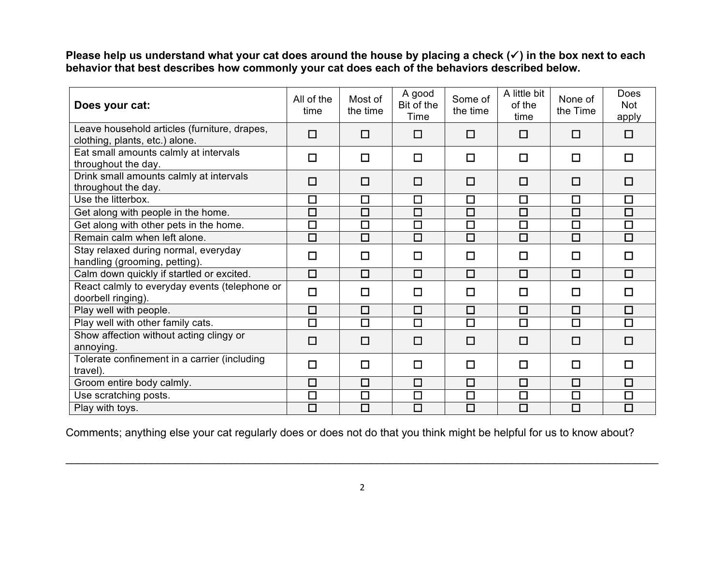**Please help us understand what your cat does around the house by placing a check (**!**) in the box next to each behavior that best describes how commonly your cat does each of the behaviors described below.**

| Does your cat:                                                                 | All of the<br>time | Most of<br>the time  | A good<br>Bit of the<br>Time | Some of<br>the time  | A little bit<br>of the<br>time | None of<br>the Time | Does<br>Not<br>apply |
|--------------------------------------------------------------------------------|--------------------|----------------------|------------------------------|----------------------|--------------------------------|---------------------|----------------------|
| Leave household articles (furniture, drapes,<br>clothing, plants, etc.) alone. | $\Box$             | $\Box$               | $\Box$                       | $\Box$               | $\Box$                         | $\Box$              | $\Box$               |
| Eat small amounts calmly at intervals<br>throughout the day.                   | □                  | $\Box$               | $\Box$                       | $\Box$               | $\Box$                         | □                   | $\Box$               |
| Drink small amounts calmly at intervals<br>throughout the day.                 | $\Box$             | $\Box$               | $\Box$                       | $\Box$               | $\Box$                         | $\Box$              | $\Box$               |
| Use the litterbox.                                                             | $\Box$             | $\Box$               | $\Box$                       | $\Box$               | $\Box$                         | $\Box$              | $\Box$               |
| Get along with people in the home.                                             | $\overline{\Box}$  | $\overline{\square}$ | $\Box$                       | $\overline{\Box}$    | $\Box$                         | $\Box$              | $\overline{\square}$ |
| Get along with other pets in the home.                                         | $\Box$             | $\Box$               | $\Box$                       | $\Box$               | $\Box$                         | $\Box$              | $\overline{\square}$ |
| Remain calm when left alone.                                                   | $\Box$             | $\Box$               | $\Box$                       | $\Box$               | $\Box$                         | $\Box$              | $\Box$               |
| Stay relaxed during normal, everyday<br>handling (grooming, petting).          | $\Box$             | $\Box$               | $\Box$                       | $\Box$               | $\Box$                         | $\Box$              | $\Box$               |
| Calm down quickly if startled or excited.                                      | $\Box$             | $\Box$               | $\Box$                       | $\Box$               | $\Box$                         | $\Box$              | $\Box$               |
| React calmly to everyday events (telephone or<br>doorbell ringing).            | $\Box$             | $\Box$               | $\Box$                       | $\Box$               | □                              | $\Box$              | $\Box$               |
| Play well with people.                                                         | $\Box$             | $\Box$               | $\Box$                       | $\Box$               | $\Box$                         | $\Box$              | $\Box$               |
| Play well with other family cats.                                              | $\overline{\Box}$  | $\Box$               | $\Box$                       | $\overline{\square}$ | $\Box$                         | $\Box$              | $\Box$               |
| Show affection without acting clingy or<br>annoying.                           | $\Box$             | $\Box$               | $\Box$                       | $\Box$               | □                              | $\Box$              | $\Box$               |
| Tolerate confinement in a carrier (including<br>travel).                       | $\Box$             | $\Box$               | $\Box$                       | $\Box$               | $\Box$                         | $\Box$              | $\Box$               |
| Groom entire body calmly.                                                      | $\Box$             | $\Box$               | $\Box$                       | $\Box$               | $\Box$                         | $\Box$              | $\Box$               |
| Use scratching posts.                                                          | $\Box$             | $\Box$               | $\Box$                       | $\Box$               | $\Box$                         | $\Box$              | $\Box$               |
| Play with toys.                                                                | $\Box$             | $\overline{\square}$ | $\overline{\Box}$            | $\Box$               | $\Box$                         | $\Box$              | $\overline{\square}$ |

Comments; anything else your cat regularly does or does not do that you think might be helpful for us to know about?

\_\_\_\_\_\_\_\_\_\_\_\_\_\_\_\_\_\_\_\_\_\_\_\_\_\_\_\_\_\_\_\_\_\_\_\_\_\_\_\_\_\_\_\_\_\_\_\_\_\_\_\_\_\_\_\_\_\_\_\_\_\_\_\_\_\_\_\_\_\_\_\_\_\_\_\_\_\_\_\_\_\_\_\_\_\_\_\_\_\_\_\_\_\_\_\_\_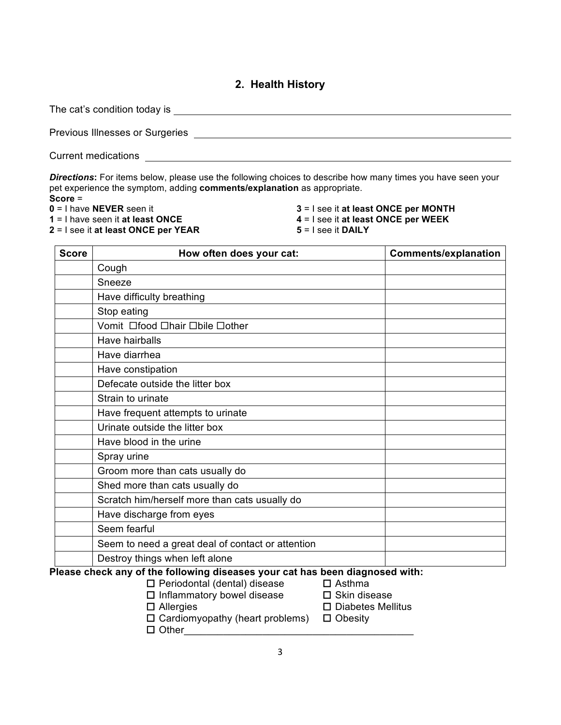## **2. Health History**

The cat's condition today is

Previous Illnesses or Surgeries

Current medications **Current medications** 

*Directions***:** For items below, please use the following choices to describe how many times you have seen your pet experience the symptom, adding **comments/explanation** as appropriate. **Score** =

- **0** = I have **NEVER** seen it
- **1** = I have seen it **at least ONCE**
- **2** = I see it **at least ONCE per YEAR**
- **3** = I see it **at least ONCE per MONTH 4** = I see it **at least ONCE per WEEK**
- **5** = I see it **DAILY**

| <b>Score</b> | How often does your cat:                                                     | <b>Comments/explanation</b> |
|--------------|------------------------------------------------------------------------------|-----------------------------|
|              | Cough                                                                        |                             |
|              | Sneeze                                                                       |                             |
|              | Have difficulty breathing                                                    |                             |
|              | Stop eating                                                                  |                             |
|              | Vomit Ofood Ohair Obile Oother                                               |                             |
|              | Have hairballs                                                               |                             |
|              | Have diarrhea                                                                |                             |
|              | Have constipation                                                            |                             |
|              | Defecate outside the litter box                                              |                             |
|              | Strain to urinate                                                            |                             |
|              | Have frequent attempts to urinate                                            |                             |
|              | Urinate outside the litter box                                               |                             |
|              | Have blood in the urine                                                      |                             |
|              | Spray urine                                                                  |                             |
|              | Groom more than cats usually do                                              |                             |
|              | Shed more than cats usually do                                               |                             |
|              | Scratch him/herself more than cats usually do                                |                             |
|              | Have discharge from eyes                                                     |                             |
|              | Seem fearful                                                                 |                             |
|              | Seem to need a great deal of contact or attention                            |                             |
|              | Destroy things when left alone                                               |                             |
|              | Please check any of the following diseases your cat has been diagnosed with: |                             |

- $\Box$  Periodontal (dental) disease  $\Box$  Asthma
	- $\Box$  Inflammatory bowel disease  $\Box$  Skin disease
		-
	- $\Box$  Allergies  $\Box$  Diabetes Mellitus
	- $\Box$  Cardiomyopathy (heart problems)  $\Box$  Obesity
	- $\Box$  Other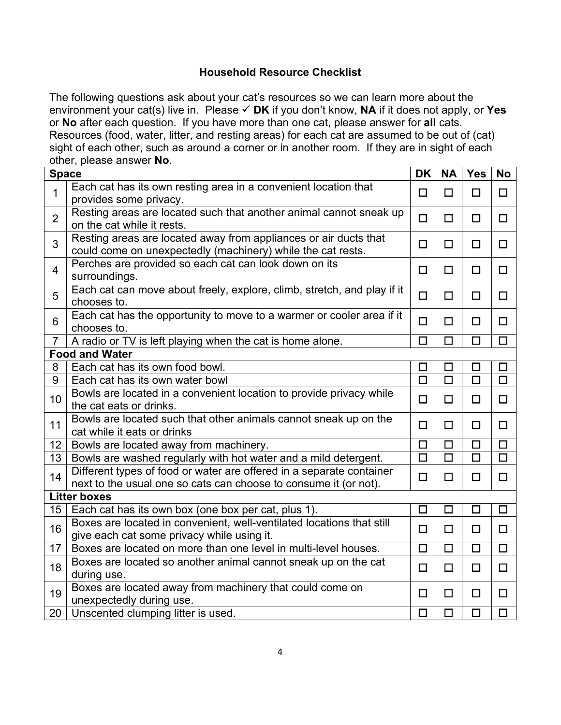## **Household Resource Checklist**

The following questions ask about your cat's resources so we can learn more about the environment your cat(s) live in. Please " **DK** if you don't know, **NA** if it does not apply, or **Yes** or **No** after each question. If you have more than one cat, please answer for **all** cats. Resources (food, water, litter, and resting areas) for each cat are assumed to be out of (cat) sight of each other, such as around a corner or in another room. If they are in sight of each other, please answer **No**.

| <b>Space</b>        |                                                                                                                                          |                   | <b>NA</b>            | <b>Yes</b>           | <b>No</b>         |  |  |
|---------------------|------------------------------------------------------------------------------------------------------------------------------------------|-------------------|----------------------|----------------------|-------------------|--|--|
| $\mathbf{1}$        | Each cat has its own resting area in a convenient location that<br>provides some privacy.                                                | $\Box$            | $\Box$               | $\Box$               | $\Box$            |  |  |
| $\overline{2}$      | Resting areas are located such that another animal cannot sneak up<br>on the cat while it rests.                                         | $\Box$            | $\Box$               | $\Box$               | $\Box$            |  |  |
| 3                   | Resting areas are located away from appliances or air ducts that<br>could come on unexpectedly (machinery) while the cat rests.          | $\Box$            | $\Box$               | $\Box$               | $\Box$            |  |  |
| $\overline{4}$      | Perches are provided so each cat can look down on its<br>surroundings.                                                                   | $\Box$            | $\Box$               | $\Box$               | $\Box$            |  |  |
| 5                   | Each cat can move about freely, explore, climb, stretch, and play if it<br>chooses to.                                                   | $\Box$            | $\Box$               | $\Box$               | $\Box$            |  |  |
| 6                   | Each cat has the opportunity to move to a warmer or cooler area if it<br>chooses to.                                                     | $\Box$            | $\Box$               | $\Box$               | $\Box$            |  |  |
| $\overline{7}$      | A radio or TV is left playing when the cat is home alone.                                                                                | □                 | $\Box$               | □                    | $\Box$            |  |  |
|                     | <b>Food and Water</b>                                                                                                                    |                   |                      |                      |                   |  |  |
| 8                   | Each cat has its own food bowl.                                                                                                          | $\Box$            | $\Box$               | $\Box$               | $\Box$            |  |  |
| 9                   | Each cat has its own water bowl                                                                                                          | $\Box$            | $\Box$               | $\Box$               | $\Box$            |  |  |
| 10                  | Bowls are located in a convenient location to provide privacy while<br>the cat eats or drinks.                                           | $\Box$            | $\Box$               | $\Box$               | $\Box$            |  |  |
| 11                  | Bowls are located such that other animals cannot sneak up on the<br>cat while it eats or drinks                                          | $\Box$            | $\Box$               | $\Box$               | $\Box$            |  |  |
| 12                  | Bowls are located away from machinery.                                                                                                   | $\Box$            | $\Box$               | $\Box$               | $\Box$            |  |  |
| 13                  | Bowls are washed regularly with hot water and a mild detergent.                                                                          | $\overline{\Box}$ | $\overline{\square}$ | $\overline{\square}$ | $\overline{\Box}$ |  |  |
| 14                  | Different types of food or water are offered in a separate container<br>next to the usual one so cats can choose to consume it (or not). | $\Box$            | $\Box$               | $\Box$               | $\Box$            |  |  |
| <b>Litter boxes</b> |                                                                                                                                          |                   |                      |                      |                   |  |  |
| 15                  | Each cat has its own box (one box per cat, plus 1).                                                                                      | $\Box$            | $\Box$               | $\Box$               | $\Box$            |  |  |
| 16                  | Boxes are located in convenient, well-ventilated locations that still<br>give each cat some privacy while using it.                      | $\Box$            | □                    | $\Box$               | $\Box$            |  |  |
| 17                  | Boxes are located on more than one level in multi-level houses.                                                                          | □                 | $\Box$               | $\Box$               | $\Box$            |  |  |
| 18                  | Boxes are located so another animal cannot sneak up on the cat<br>during use.                                                            | $\Box$            | $\Box$               | $\Box$               | $\Box$            |  |  |
| 19                  | Boxes are located away from machinery that could come on<br>unexpectedly during use.                                                     | $\Box$            | $\Box$               | $\Box$               | $\Box$            |  |  |
| 20                  | Unscented clumping litter is used.                                                                                                       | $\Box$            | $\Box$               | $\Box$               | $\Box$            |  |  |